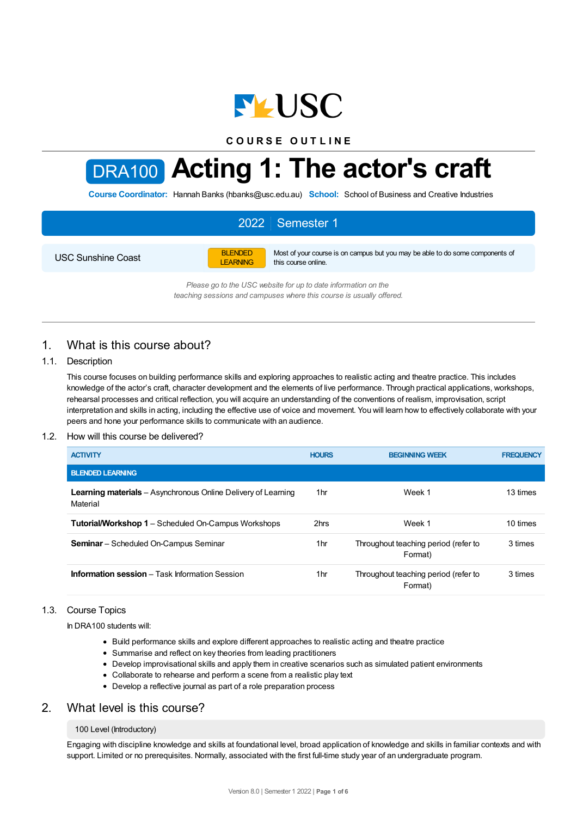

**C O U R S E O U T L I N E**



# DRA100 **Acting 1: The actor's craft**

**Course Coordinator:** Hannah Banks (hbanks@usc.edu.au) **School:** School of Business and Creative Industries

# 2022 Semester 1

USC Sunshine Coast

BLENDED LEARNING Most of your course is on campus but you may be able to do some components of this course online.

*Please go to the USC website for up to date information on the teaching sessions and campuses where this course is usually offered.*

# 1. What is this course about?

## 1.1. Description

This course focuses on building performance skills and exploring approaches to realistic acting and theatre practice. This includes knowledge of the actor's craft, character development and the elements of live performance. Through practical applications, workshops, rehearsal processes and critical reflection, you will acquire an understanding of the conventions of realism, improvisation, script interpretation and skills in acting, including the effective use of voice and movement. You will learn how to effectively collaborate with your peers and hone your performance skills to communicate with an audience.

## 1.2. How will this course be delivered?

| <b>ACTIVITY</b>                                                                  | <b>HOURS</b>    | <b>BEGINNING WEEK</b>                           | <b>FREQUENCY</b> |
|----------------------------------------------------------------------------------|-----------------|-------------------------------------------------|------------------|
| <b>BLENDED LEARNING</b>                                                          |                 |                                                 |                  |
| <b>Learning materials</b> – Asynchronous Online Delivery of Learning<br>Material | 1hr             | Week 1                                          | 13 times         |
| <b>Tutorial/Workshop 1</b> – Scheduled On-Campus Workshops                       | 2hrs            | Week 1                                          | 10 times         |
| <b>Seminar</b> – Scheduled On-Campus Seminar                                     | 1hr             | Throughout teaching period (refer to<br>Format) | 3 times          |
| <b>Information session</b> – Task Information Session                            | 1 <sub>hr</sub> | Throughout teaching period (refer to<br>Format) | 3 times          |

## 1.3. Course Topics

In DRA100 students will:

- Build performance skills and explore different approaches to realistic acting and theatre practice
- Summarise and reflect on key theories from leading practitioners
- Develop improvisational skills and apply them in creative scenarios such as simulated patient environments
- Collaborate to rehearse and perform a scene from a realistic play text
- Develop a reflective journal as part of a role preparation process

# 2. What level is this course?

## 100 Level (Introductory)

Engaging with discipline knowledge and skills at foundational level, broad application of knowledge and skills in familiar contexts and with support. Limited or no prerequisites. Normally, associated with the first full-time study year of an undergraduate program.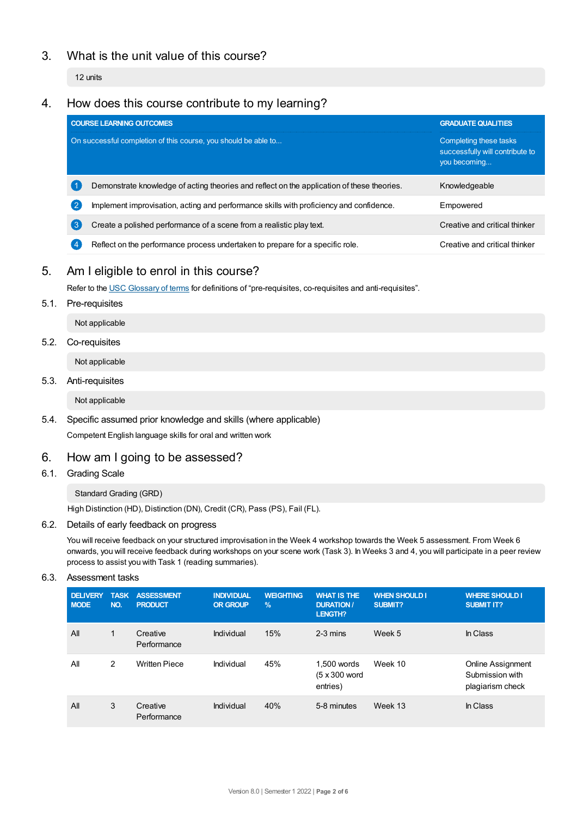# 3. What is the unit value of this course?

12 units

# 4. How does this course contribute to my learning?

|                                                                | <b>COURSE LEARNING OUTCOMES</b>                                                            | <b>GRADUATE QUALITIES</b>                                                 |  |
|----------------------------------------------------------------|--------------------------------------------------------------------------------------------|---------------------------------------------------------------------------|--|
| On successful completion of this course, you should be able to |                                                                                            | Completing these tasks<br>successfully will contribute to<br>you becoming |  |
|                                                                | Demonstrate knowledge of acting theories and reflect on the application of these theories. | Knowledgeable                                                             |  |
| 2                                                              | Implement improvisation, acting and performance skills with proficiency and confidence.    | Empowered                                                                 |  |
| 3                                                              | Create a polished performance of a scene from a realistic play text.                       | Creative and critical thinker                                             |  |
|                                                                | Reflect on the performance process undertaken to prepare for a specific role.              | Creative and critical thinker                                             |  |

# 5. Am Ieligible to enrol in this course?

Refer to the USC [Glossary](https://www.usc.edu.au/about/policies-and-procedures/glossary-of-terms-for-policy-and-procedures) of terms for definitions of "pre-requisites, co-requisites and anti-requisites".

5.1. Pre-requisites

Not applicable

# 5.2. Co-requisites

Not applicable

5.3. Anti-requisites

Not applicable

5.4. Specific assumed prior knowledge and skills (where applicable) Competent English language skills for oral and written work

# 6. How am Igoing to be assessed?

6.1. Grading Scale

## Standard Grading (GRD)

High Distinction (HD), Distinction (DN), Credit (CR), Pass (PS), Fail (FL).

## 6.2. Details of early feedback on progress

You will receive feedback on your structured improvisation in the Week 4 workshop towards the Week 5 assessment. From Week 6 onwards, you will receive feedback during workshops on your scene work (Task 3). In Weeks 3 and 4, you will participate in a peer review process to assist you with Task 1 (reading summaries).

6.3. Assessment tasks

| <b>DELIVERY</b><br><b>MODE</b> | <b>TASK</b><br>NO. | <b>ASSESSMENT</b><br><b>PRODUCT</b> | <b>INDIVIDUAL</b><br><b>OR GROUP</b> | <b>WEIGHTING</b><br>$\frac{9}{6}$ | <b>WHAT IS THE</b><br><b>DURATION /</b><br><b>LENGTH?</b> | <b>WHEN SHOULD I</b><br><b>SUBMIT?</b> | <b>WHERE SHOULD I</b><br><b>SUBMIT IT?</b>               |
|--------------------------------|--------------------|-------------------------------------|--------------------------------------|-----------------------------------|-----------------------------------------------------------|----------------------------------------|----------------------------------------------------------|
| All                            | 1                  | Creative<br>Performance             | Individual                           | 15%                               | $2-3$ mins                                                | Week 5                                 | In Class                                                 |
| All                            | 2                  | <b>Written Piece</b>                | Individual                           | 45%                               | 1.500 words<br>(5 x 300 word<br>entries)                  | Week 10                                | Online Assignment<br>Submission with<br>plagiarism check |
| All                            | 3                  | Creative<br>Performance             | Individual                           | 40%                               | 5-8 minutes                                               | Week 13                                | In Class                                                 |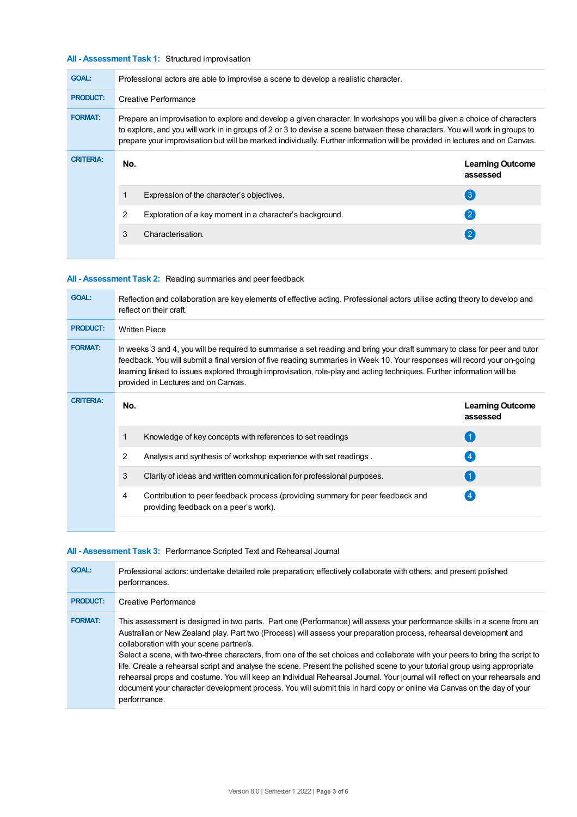### **All - Assessment Task 1:** Structured improvisation

| <b>GOAL:</b>     | Professional actors are able to improvise a scene to develop a realistic character.                                                                                                                                                                                                                                                                                                    |                                                          |                                     |  |  |
|------------------|----------------------------------------------------------------------------------------------------------------------------------------------------------------------------------------------------------------------------------------------------------------------------------------------------------------------------------------------------------------------------------------|----------------------------------------------------------|-------------------------------------|--|--|
| <b>PRODUCT:</b>  | Creative Performance                                                                                                                                                                                                                                                                                                                                                                   |                                                          |                                     |  |  |
| <b>FORMAT:</b>   | Prepare an improvisation to explore and develop a given character. In workshops you will be given a choice of characters<br>to explore, and you will work in in groups of 2 or 3 to devise a scene between these characters. You will work in groups to<br>prepare your improvisation but will be marked individually. Further information will be provided in lectures and on Canvas. |                                                          |                                     |  |  |
| <b>CRITERIA:</b> | No.                                                                                                                                                                                                                                                                                                                                                                                    |                                                          | <b>Learning Outcome</b><br>assessed |  |  |
|                  |                                                                                                                                                                                                                                                                                                                                                                                        | Expression of the character's objectives.                | $\left( 3 \right)$                  |  |  |
|                  | 2                                                                                                                                                                                                                                                                                                                                                                                      | Exploration of a key moment in a character's background. | $\mathbf{C}$                        |  |  |
|                  | 3                                                                                                                                                                                                                                                                                                                                                                                      | Characterisation.                                        | (2)                                 |  |  |
|                  |                                                                                                                                                                                                                                                                                                                                                                                        |                                                          |                                     |  |  |

## **All - Assessment Task 2:** Reading summaries and peer feedback

| <b>GOAL:</b>     | Reflection and collaboration are key elements of effective acting. Professional actors utilise acting theory to develop and<br>reflect on their craft.                                                                                                                                                                                                                                                                  |                                                                                                                         |                                     |  |  |
|------------------|-------------------------------------------------------------------------------------------------------------------------------------------------------------------------------------------------------------------------------------------------------------------------------------------------------------------------------------------------------------------------------------------------------------------------|-------------------------------------------------------------------------------------------------------------------------|-------------------------------------|--|--|
| <b>PRODUCT:</b>  | <b>Written Piece</b>                                                                                                                                                                                                                                                                                                                                                                                                    |                                                                                                                         |                                     |  |  |
| <b>FORMAT:</b>   | In weeks 3 and 4, you will be required to summarise a set reading and bring your draft summary to class for peer and tutor<br>feedback. You will submit a final version of five reading summaries in Week 10. Your responses will record your on-going<br>learning linked to issues explored through improvisation, role-play and acting techniques. Further information will be<br>provided in Lectures and on Canvas. |                                                                                                                         |                                     |  |  |
| <b>CRITERIA:</b> | No.                                                                                                                                                                                                                                                                                                                                                                                                                     |                                                                                                                         | <b>Learning Outcome</b><br>assessed |  |  |
|                  | 1                                                                                                                                                                                                                                                                                                                                                                                                                       | Knowledge of key concepts with references to set readings                                                               | $\blacktriangleleft$                |  |  |
|                  | 2                                                                                                                                                                                                                                                                                                                                                                                                                       | Analysis and synthesis of workshop experience with set readings.                                                        | $\overline{4}$                      |  |  |
|                  | 3                                                                                                                                                                                                                                                                                                                                                                                                                       | Clarity of ideas and written communication for professional purposes.                                                   |                                     |  |  |
|                  | 4                                                                                                                                                                                                                                                                                                                                                                                                                       | Contribution to peer feedback process (providing summary for peer feedback and<br>providing feedback on a peer's work). |                                     |  |  |

## **All - Assessment Task 3:** Performance Scripted Text and Rehearsal Journal

| <b>GOAL:</b>    | Professional actors: undertake detailed role preparation; effectively collaborate with others; and present polished<br>performances.                                                                                                                                                                                                                                                                                                                                                                                                                                                                                                                                                                                                                                                                                               |
|-----------------|------------------------------------------------------------------------------------------------------------------------------------------------------------------------------------------------------------------------------------------------------------------------------------------------------------------------------------------------------------------------------------------------------------------------------------------------------------------------------------------------------------------------------------------------------------------------------------------------------------------------------------------------------------------------------------------------------------------------------------------------------------------------------------------------------------------------------------|
| <b>PRODUCT:</b> | Creative Performance                                                                                                                                                                                                                                                                                                                                                                                                                                                                                                                                                                                                                                                                                                                                                                                                               |
| <b>FORMAT:</b>  | This assessment is designed in two parts. Part one (Performance) will assess your performance skills in a scene from an<br>Australian or New Zealand play. Part two (Process) will assess your preparation process, rehearsal development and<br>collaboration with your scene partner/s.<br>Select a scene, with two-three characters, from one of the set choices and collaborate with your peers to bring the script to<br>life. Create a rehearsal script and analyse the scene. Present the polished scene to your tutorial group using appropriate<br>rehearsal props and costume. You will keep an Individual Rehearsal Journal. Your journal will reflect on your rehearsals and<br>document your character development process. You will submit this in hard copy or online via Canvas on the day of your<br>performance. |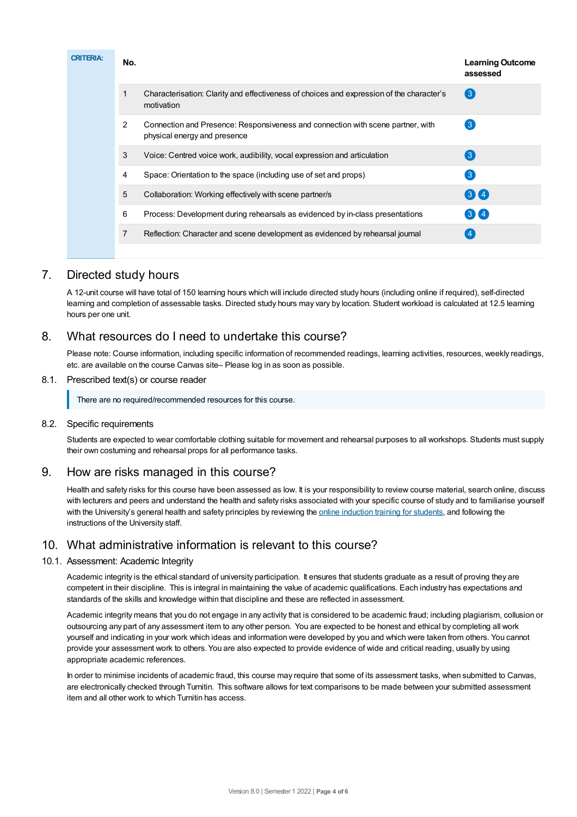| <b>CRITERIA:</b> |   | No.                                                                           |                                                                                                                 | <b>Learning Outcome</b><br>assessed |
|------------------|---|-------------------------------------------------------------------------------|-----------------------------------------------------------------------------------------------------------------|-------------------------------------|
|                  |   | 1                                                                             | Characterisation: Clarity and effectiveness of choices and expression of the character's<br>motivation          | $\left( 3 \right)$                  |
|                  |   | $\overline{2}$                                                                | Connection and Presence: Responsiveness and connection with scene partner, with<br>physical energy and presence | $\left(3\right)$                    |
|                  |   | 3                                                                             | Voice: Centred voice work, audibility, vocal expression and articulation                                        | $\left[3\right]$                    |
|                  |   | 4                                                                             | Space: Orientation to the space (including use of set and props)                                                | $\left(3\right)$                    |
|                  |   | 5                                                                             | Collaboration: Working effectively with scene partner/s                                                         | 3 <sup>4</sup>                      |
|                  |   | 6                                                                             | Process: Development during rehearsals as evidenced by in-class presentations                                   | $3)$ $4)$                           |
|                  | 7 | Reflection: Character and scene development as evidenced by rehearsal journal |                                                                                                                 |                                     |
|                  |   |                                                                               |                                                                                                                 |                                     |

# 7. Directed study hours

A 12-unit course will have total of 150 learning hours which will include directed study hours (including online if required), self-directed learning and completion of assessable tasks. Directed study hours may vary by location. Student workload is calculated at 12.5 learning hours per one unit.

# 8. What resources do I need to undertake this course?

Please note: Course information, including specific information of recommended readings, learning activities, resources, weekly readings, etc. are available on the course Canvas site– Please log in as soon as possible.

#### 8.1. Prescribed text(s) or course reader

There are no required/recommended resources for this course.

#### 8.2. Specific requirements

Students are expected to wear comfortable clothing suitable for movement and rehearsal purposes to all workshops. Students must supply their own costuming and rehearsal props for all performance tasks.

## 9. How are risks managed in this course?

Health and safety risks for this course have been assessed as low. It is your responsibility to review course material, search online, discuss with lecturers and peers and understand the health and safety risks associated with your specific course of study and to familiarise yourself with the University's general health and safety principles by reviewing the online [induction](https://online.usc.edu.au/webapps/blackboard/content/listContentEditable.jsp?content_id=_632657_1&course_id=_14432_1) training for students, and following the instructions of the University staff.

# 10. What administrative information is relevant to this course?

## 10.1. Assessment: Academic Integrity

Academic integrity is the ethical standard of university participation. It ensures that students graduate as a result of proving they are competent in their discipline. This is integral in maintaining the value of academic qualifications. Each industry has expectations and standards of the skills and knowledge within that discipline and these are reflected in assessment.

Academic integrity means that you do not engage in any activity that is considered to be academic fraud; including plagiarism, collusion or outsourcing any part of any assessment item to any other person. You are expected to be honest and ethical by completing all work yourself and indicating in your work which ideas and information were developed by you and which were taken from others. You cannot provide your assessment work to others.You are also expected to provide evidence of wide and critical reading, usually by using appropriate academic references.

In order to minimise incidents of academic fraud, this course may require that some of its assessment tasks, when submitted to Canvas, are electronically checked through Turnitin. This software allows for text comparisons to be made between your submitted assessment item and all other work to which Turnitin has access.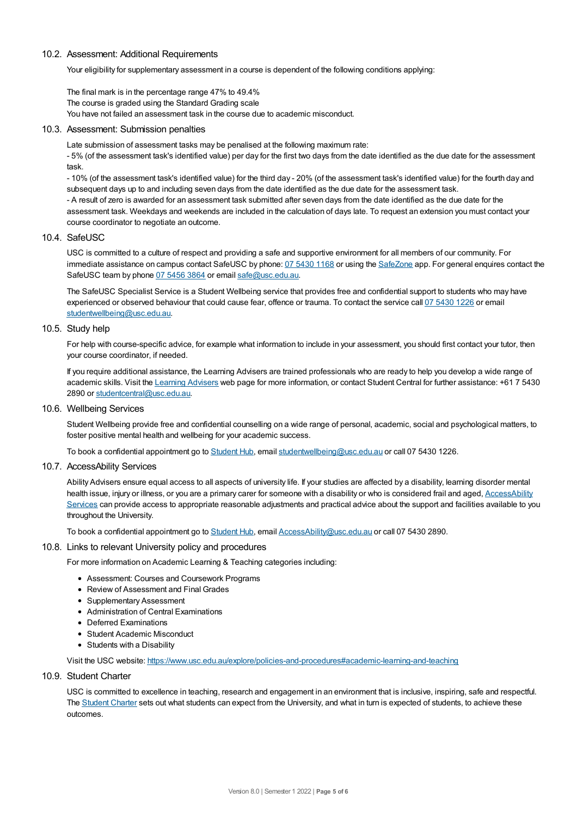#### 10.2. Assessment: Additional Requirements

Your eligibility for supplementary assessment in a course is dependent of the following conditions applying:

The final mark is in the percentage range 47% to 49.4% The course is graded using the Standard Grading scale You have not failed an assessment task in the course due to academic misconduct.

#### 10.3. Assessment: Submission penalties

Late submission of assessment tasks may be penalised at the following maximum rate:

- 5% (of the assessment task's identified value) per day for the first two days from the date identified as the due date for the assessment task.

- 10% (of the assessment task's identified value) for the third day - 20% (of the assessment task's identified value) for the fourth day and subsequent days up to and including seven days from the date identified as the due date for the assessment task.

- A result of zero is awarded for an assessment task submitted after seven days from the date identified as the due date for the assessment task. Weekdays and weekends are included in the calculation of days late. To request an extension you must contact your course coordinator to negotiate an outcome.

#### 10.4. SafeUSC

USC is committed to a culture of respect and providing a safe and supportive environment for all members of our community. For immediate assistance on campus contact SafeUSC by phone: 07 [5430](tel:07%205430%201168) 1168 or using the [SafeZone](https://www.safezoneapp.com) app. For general enquires contact the SafeUSC team by phone 07 [5456](tel:07%205456%203864) 3864 or email [safe@usc.edu.au](mailto:safe@usc.edu.au).

The SafeUSC Specialist Service is a Student Wellbeing service that provides free and confidential support to students who may have experienced or observed behaviour that could cause fear, offence or trauma. To contact the service call 07 [5430](tel:07%205430%201226) 1226 or email [studentwellbeing@usc.edu.au](mailto:studentwellbeing@usc.edu.au).

#### 10.5. Study help

For help with course-specific advice, for example what information to include in your assessment, you should first contact your tutor, then your course coordinator, if needed.

If you require additional assistance, the Learning Advisers are trained professionals who are ready to help you develop a wide range of academic skills. Visit the Learning [Advisers](https://www.usc.edu.au/current-students/student-support/academic-and-study-support/learning-advisers) web page for more information, or contact Student Central for further assistance: +61 7 5430 2890 or [studentcentral@usc.edu.au](mailto:studentcentral@usc.edu.au).

10.6. Wellbeing Services

Student Wellbeing provide free and confidential counselling on a wide range of personal, academic, social and psychological matters, to foster positive mental health and wellbeing for your academic success.

To book a confidential appointment go to [Student](https://studenthub.usc.edu.au/) Hub, email [studentwellbeing@usc.edu.au](mailto:studentwellbeing@usc.edu.au) or call 07 5430 1226.

#### 10.7. AccessAbility Services

Ability Advisers ensure equal access to all aspects of university life. If your studies are affected by a disability, learning disorder mental health issue, injury or illness, or you are a primary carer for someone with a disability or who is considered frail and aged, [AccessAbility](https://www.usc.edu.au/learn/student-support/accessability-services/documentation-requirements) Services can provide access to appropriate reasonable adjustments and practical advice about the support and facilities available to you throughout the University.

To book a confidential appointment go to [Student](https://studenthub.usc.edu.au/) Hub, email [AccessAbility@usc.edu.au](mailto:AccessAbility@usc.edu.au) or call 07 5430 2890.

#### 10.8. Links to relevant University policy and procedures

For more information on Academic Learning & Teaching categories including:

- Assessment: Courses and Coursework Programs
- Review of Assessment and Final Grades
- Supplementary Assessment
- Administration of Central Examinations
- Deferred Examinations
- Student Academic Misconduct
- Students with a Disability

Visit the USC website: <https://www.usc.edu.au/explore/policies-and-procedures#academic-learning-and-teaching>

#### 10.9. Student Charter

USC is committed to excellence in teaching, research and engagement in an environment that is inclusive, inspiring, safe and respectful. The [Student](https://www.usc.edu.au/current-students/student-charter) Charter sets out what students can expect from the University, and what in turn is expected of students, to achieve these outcomes.